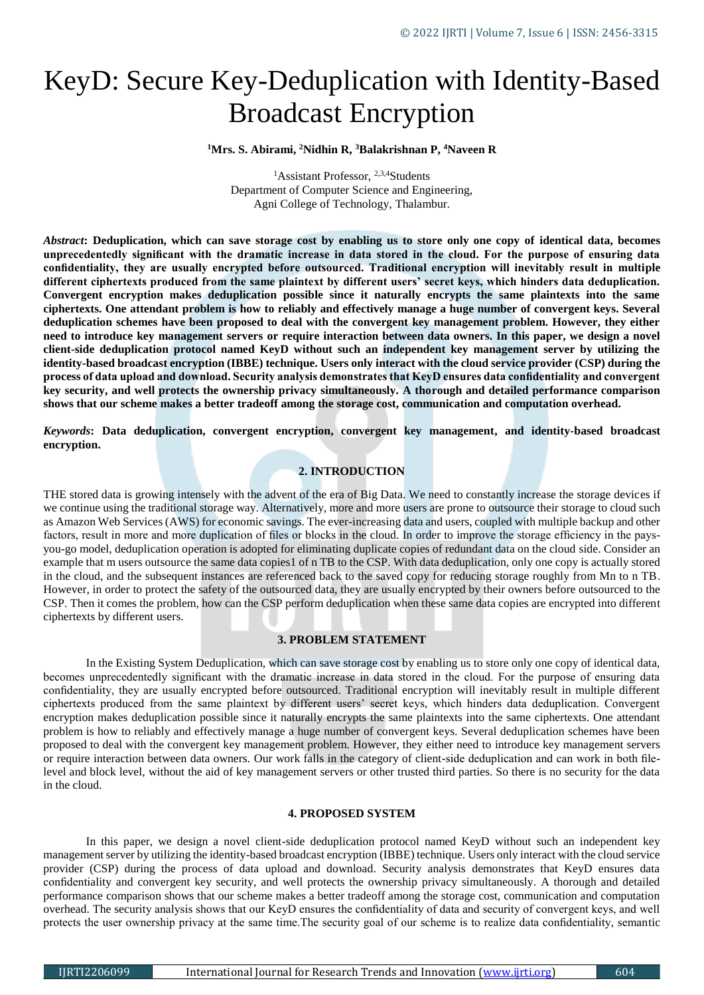# KeyD: Secure Key-Deduplication with Identity-Based Broadcast Encryption

**<sup>1</sup>Mrs. S. Abirami, <sup>2</sup>Nidhin R, <sup>3</sup>Balakrishnan P, <sup>4</sup>Naveen R**

<sup>1</sup>Assistant Professor, <sup>2,3,4</sup>Students Department of Computer Science and Engineering, Agni College of Technology, Thalambur.

*Abstract***: Deduplication, which can save storage cost by enabling us to store only one copy of identical data, becomes unprecedentedly significant with the dramatic increase in data stored in the cloud. For the purpose of ensuring data confidentiality, they are usually encrypted before outsourced. Traditional encryption will inevitably result in multiple different ciphertexts produced from the same plaintext by different users' secret keys, which hinders data deduplication. Convergent encryption makes deduplication possible since it naturally encrypts the same plaintexts into the same ciphertexts. One attendant problem is how to reliably and effectively manage a huge number of convergent keys. Several deduplication schemes have been proposed to deal with the convergent key management problem. However, they either need to introduce key management servers or require interaction between data owners. In this paper, we design a novel client-side deduplication protocol named KeyD without such an independent key management server by utilizing the identity-based broadcast encryption (IBBE) technique. Users only interact with the cloud service provider (CSP) during the process of data upload and download. Security analysis demonstrates that KeyD ensures data confidentiality and convergent key security, and well protects the ownership privacy simultaneously. A thorough and detailed performance comparison shows that our scheme makes a better tradeoff among the storage cost, communication and computation overhead.**

*Keywords***: Data deduplication, convergent encryption, convergent key management, and identity-based broadcast encryption.**

# **2. INTRODUCTION**

THE stored data is growing intensely with the advent of the era of Big Data. We need to constantly increase the storage devices if we continue using the traditional storage way. Alternatively, more and more users are prone to outsource their storage to cloud such as Amazon Web Services (AWS) for economic savings. The ever-increasing data and users, coupled with multiple backup and other factors, result in more and more duplication of files or blocks in the cloud. In order to improve the storage efficiency in the paysyou-go model, deduplication operation is adopted for eliminating duplicate copies of redundant data on the cloud side. Consider an example that m users outsource the same data copies1 of n TB to the CSP. With data deduplication, only one copy is actually stored in the cloud, and the subsequent instances are referenced back to the saved copy for reducing storage roughly from Mn to n TB. However, in order to protect the safety of the outsourced data, they are usually encrypted by their owners before outsourced to the CSP. Then it comes the problem, how can the CSP perform deduplication when these same data copies are encrypted into different ciphertexts by different users.

#### **3. PROBLEM STATEMENT**

In the Existing System Deduplication, which can save storage cost by enabling us to store only one copy of identical data, becomes unprecedentedly significant with the dramatic increase in data stored in the cloud. For the purpose of ensuring data confidentiality, they are usually encrypted before outsourced. Traditional encryption will inevitably result in multiple different ciphertexts produced from the same plaintext by different users' secret keys, which hinders data deduplication. Convergent encryption makes deduplication possible since it naturally encrypts the same plaintexts into the same ciphertexts. One attendant problem is how to reliably and effectively manage a huge number of convergent keys. Several deduplication schemes have been proposed to deal with the convergent key management problem. However, they either need to introduce key management servers or require interaction between data owners. Our work falls in the category of client-side deduplication and can work in both filelevel and block level, without the aid of key management servers or other trusted third parties. So there is no security for the data in the cloud.

### **4. PROPOSED SYSTEM**

In this paper, we design a novel client-side deduplication protocol named KeyD without such an independent key management server by utilizing the identity-based broadcast encryption (IBBE) technique. Users only interact with the cloud service provider (CSP) during the process of data upload and download. Security analysis demonstrates that KeyD ensures data confidentiality and convergent key security, and well protects the ownership privacy simultaneously. A thorough and detailed performance comparison shows that our scheme makes a better tradeoff among the storage cost, communication and computation overhead. The security analysis shows that our KeyD ensures the confidentiality of data and security of convergent keys, and well protects the user ownership privacy at the same time.The security goal of our scheme is to realize data confidentiality, semantic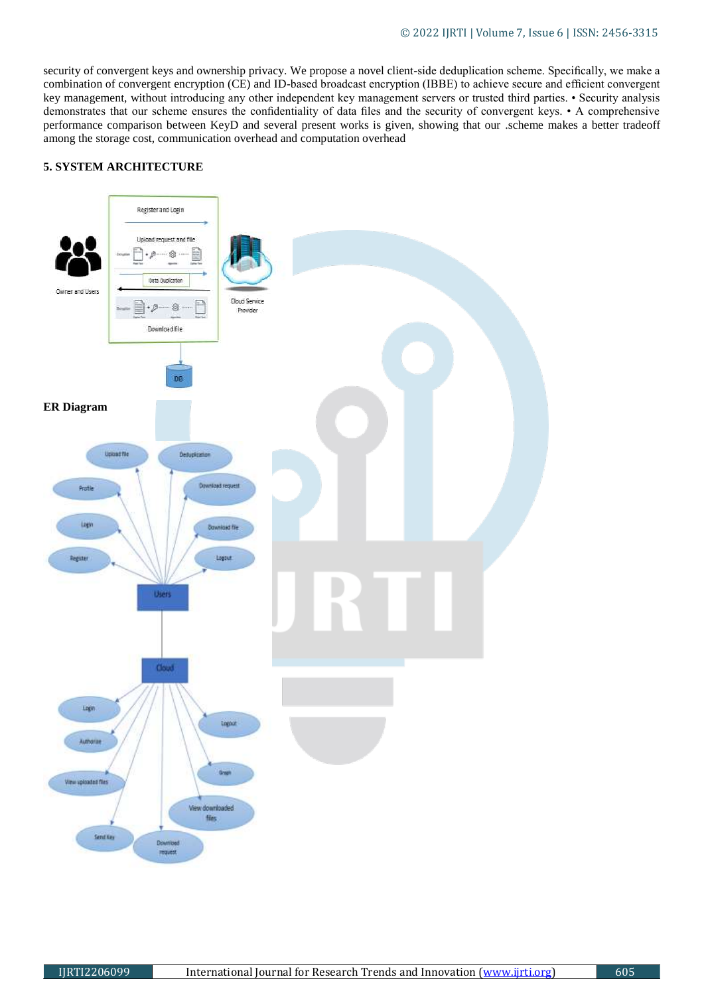security of convergent keys and ownership privacy. We propose a novel client-side deduplication scheme. Specifically, we make a combination of convergent encryption (CE) and ID-based broadcast encryption (IBBE) to achieve secure and efficient convergent key management, without introducing any other independent key management servers or trusted third parties. • Security analysis demonstrates that our scheme ensures the confidentiality of data files and the security of convergent keys. • A comprehensive performance comparison between KeyD and several present works is given, showing that our .scheme makes a better tradeoff among the storage cost, communication overhead and computation overhead

# **5. SYSTEM ARCHITECTURE**

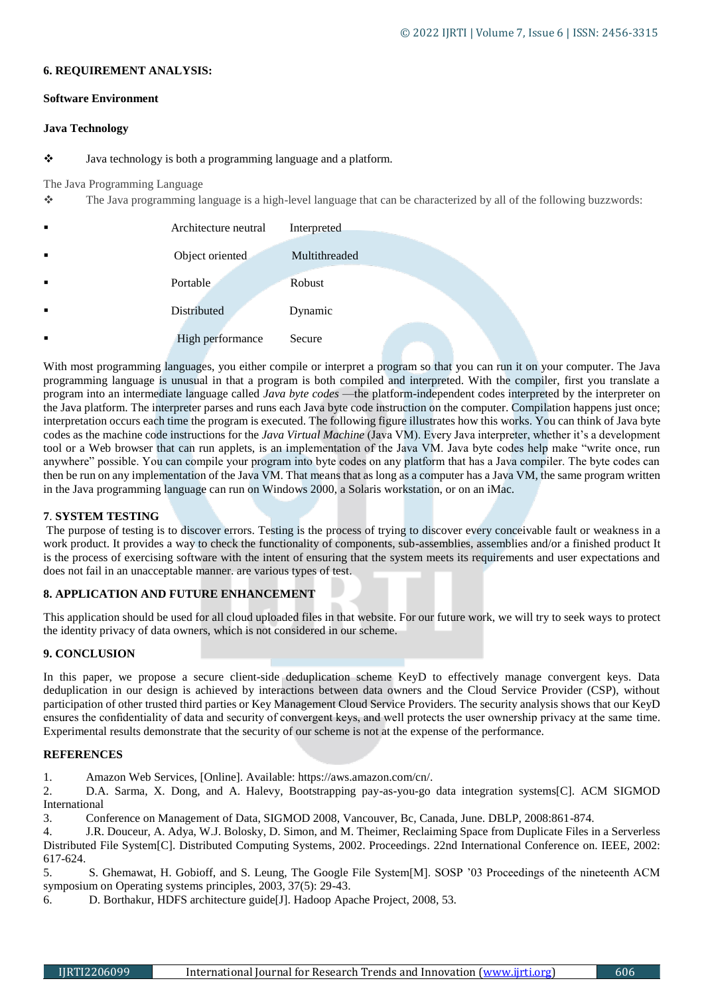### **6. REQUIREMENT ANALYSIS:**

## **Software Environment**

# **Java Technology**

# Java technology is both a programming language and a platform.

### The Java Programming Language

The Java programming language is a high-level language that can be characterized by all of the following buzzwords:

| $\blacksquare$ | Architecture neutral | Interpreted   |
|----------------|----------------------|---------------|
| $\blacksquare$ | Object oriented      | Multithreaded |
| $\blacksquare$ | Portable             | Robust        |
| $\blacksquare$ | Distributed          | Dynamic       |
|                | High performance     | Secure        |

With most programming languages, you either compile or interpret a program so that you can run it on your computer. The Java programming language is unusual in that a program is both compiled and interpreted. With the compiler, first you translate a program into an intermediate language called *Java byte codes* —the platform-independent codes interpreted by the interpreter on the Java platform. The interpreter parses and runs each Java byte code instruction on the computer. Compilation happens just once; interpretation occurs each time the program is executed. The following figure illustrates how this works. You can think of Java byte codes as the machine code instructions for the *Java Virtual Machine* (Java VM). Every Java interpreter, whether it's a development tool or a Web browser that can run applets, is an implementation of the Java VM. Java byte codes help make "write once, run anywhere" possible. You can compile your program into byte codes on any platform that has a Java compiler. The byte codes can then be run on any implementation of the Java VM. That means that as long as a computer has a Java VM, the same program written in the Java programming language can run on Windows 2000, a Solaris workstation, or on an iMac.

## **7**. **SYSTEM TESTING**

The purpose of testing is to discover errors. Testing is the process of trying to discover every conceivable fault or weakness in a work product. It provides a way to check the functionality of components, sub-assemblies, assemblies and/or a finished product It is the process of exercising software with the intent of ensuring that the system meets its requirements and user expectations and does not fail in an unacceptable manner. are various types of test.

# **8. APPLICATION AND FUTURE ENHANCEMENT**

This application should be used for all cloud uploaded files in that website. For our future work, we will try to seek ways to protect the identity privacy of data owners, which is not considered in our scheme.

# **9. CONCLUSION**

In this paper, we propose a secure client-side deduplication scheme KeyD to effectively manage convergent keys. Data deduplication in our design is achieved by interactions between data owners and the Cloud Service Provider (CSP), without participation of other trusted third parties or Key Management Cloud Service Providers. The security analysis shows that our KeyD ensures the confidentiality of data and security of convergent keys, and well protects the user ownership privacy at the same time. Experimental results demonstrate that the security of our scheme is not at the expense of the performance.

## **REFERENCES**

1. Amazon Web Services, [Online]. Available: https://aws.amazon.com/cn/.

2. D.A. Sarma, X. Dong, and A. Halevy, Bootstrapping pay-as-you-go data integration systems[C]. ACM SIGMOD International

3. Conference on Management of Data, SIGMOD 2008, Vancouver, Bc, Canada, June. DBLP, 2008:861-874.

4. J.R. Douceur, A. Adya, W.J. Bolosky, D. Simon, and M. Theimer, Reclaiming Space from Duplicate Files in a Serverless Distributed File System[C]. Distributed Computing Systems, 2002. Proceedings. 22nd International Conference on. IEEE, 2002: 617-624.

5. S. Ghemawat, H. Gobioff, and S. Leung, The Google File System[M]. SOSP '03 Proceedings of the nineteenth ACM symposium on Operating systems principles, 2003, 37(5): 29-43.

6. D. Borthakur, HDFS architecture guide[J]. Hadoop Apache Project, 2008, 53.